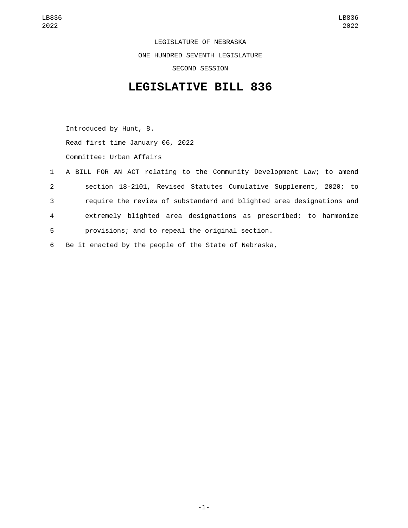LEGISLATURE OF NEBRASKA ONE HUNDRED SEVENTH LEGISLATURE SECOND SESSION

## **LEGISLATIVE BILL 836**

Introduced by Hunt, 8. Read first time January 06, 2022 Committee: Urban Affairs

|              | 1 A BILL FOR AN ACT relating to the Community Development Law; to amend |
|--------------|-------------------------------------------------------------------------|
| $\mathbf{2}$ | section 18-2101, Revised Statutes Cumulative Supplement, 2020; to       |
| 3            | require the review of substandard and blighted area designations and    |
| 4            | extremely blighted area designations as prescribed; to harmonize        |
| 5            | provisions; and to repeal the original section.                         |

6 Be it enacted by the people of the State of Nebraska,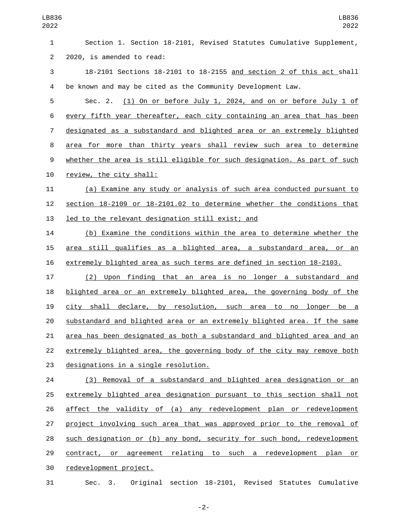Section 1. Section 18-2101, Revised Statutes Cumulative Supplement, 2 2020, is amended to read: 18-2101 Sections 18-2101 to 18-2155 and section 2 of this act shall be known and may be cited as the Community Development Law. Sec. 2. (1) On or before July 1, 2024, and on or before July 1 of every fifth year thereafter, each city containing an area that has been designated as a substandard and blighted area or an extremely blighted area for more than thirty years shall review such area to determine whether the area is still eligible for such designation. As part of such 10 review, the city shall: (a) Examine any study or analysis of such area conducted pursuant to section 18-2109 or 18-2101.02 to determine whether the conditions that 13 led to the relevant designation still exist; and (b) Examine the conditions within the area to determine whether the area still qualifies as a blighted area, a substandard area, or an extremely blighted area as such terms are defined in section 18-2103. (2) Upon finding that an area is no longer a substandard and blighted area or an extremely blighted area, the governing body of the city shall declare, by resolution, such area to no longer be a substandard and blighted area or an extremely blighted area. If the same area has been designated as both a substandard and blighted area and an extremely blighted area, the governing body of the city may remove both 23 designations in a single resolution. (3) Removal of a substandard and blighted area designation or an 25 extremely blighted area designation pursuant to this section shall not affect the validity of (a) any redevelopment plan or redevelopment project involving such area that was approved prior to the removal of such designation or (b) any bond, security for such bond, redevelopment contract, or agreement relating to such a redevelopment plan or 30 redevelopment project. Sec. 3. Original section 18-2101, Revised Statutes Cumulative

-2-